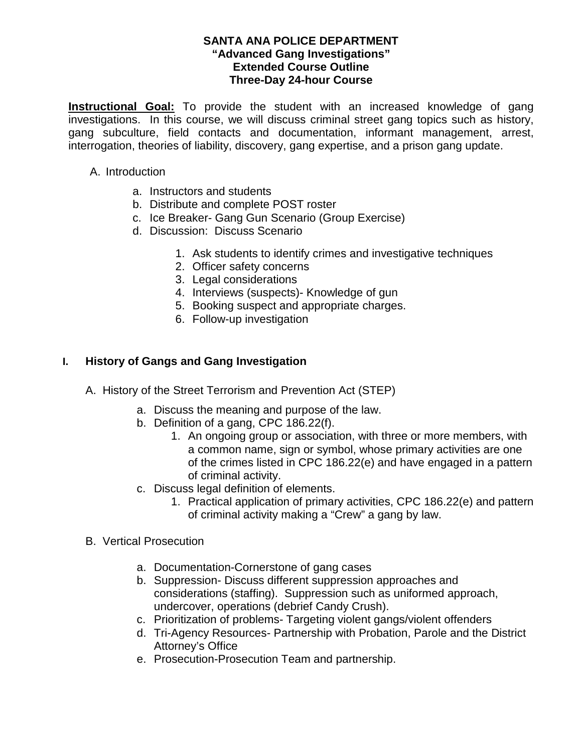**Instructional Goal:** To provide the student with an increased knowledge of gang investigations. In this course, we will discuss criminal street gang topics such as history, gang subculture, field contacts and documentation, informant management, arrest, interrogation, theories of liability, discovery, gang expertise, and a prison gang update.

- A. Introduction
	- a. Instructors and students
	- b. Distribute and complete POST roster
	- c. Ice Breaker- Gang Gun Scenario (Group Exercise)
	- d. Discussion: Discuss Scenario
		- 1. Ask students to identify crimes and investigative techniques
		- 2. Officer safety concerns
		- 3. Legal considerations
		- 4. Interviews (suspects)- Knowledge of gun
		- 5. Booking suspect and appropriate charges.
		- 6. Follow-up investigation

## **I. History of Gangs and Gang Investigation**

- A. History of the Street Terrorism and Prevention Act (STEP)
	- a. Discuss the meaning and purpose of the law.
	- b. Definition of a gang, CPC 186.22(f).
		- 1. An ongoing group or association, with three or more members, with a common name, sign or symbol, whose primary activities are one of the crimes listed in CPC 186.22(e) and have engaged in a pattern of criminal activity.
	- c. Discuss legal definition of elements.
		- 1. Practical application of primary activities, CPC 186.22(e) and pattern of criminal activity making a "Crew" a gang by law.
- B. Vertical Prosecution
	- a. Documentation-Cornerstone of gang cases
	- b. Suppression- Discuss different suppression approaches and considerations (staffing). Suppression such as uniformed approach, undercover, operations (debrief Candy Crush).
	- c. Prioritization of problems- Targeting violent gangs/violent offenders
	- d. Tri-Agency Resources- Partnership with Probation, Parole and the District Attorney's Office
	- e. Prosecution-Prosecution Team and partnership.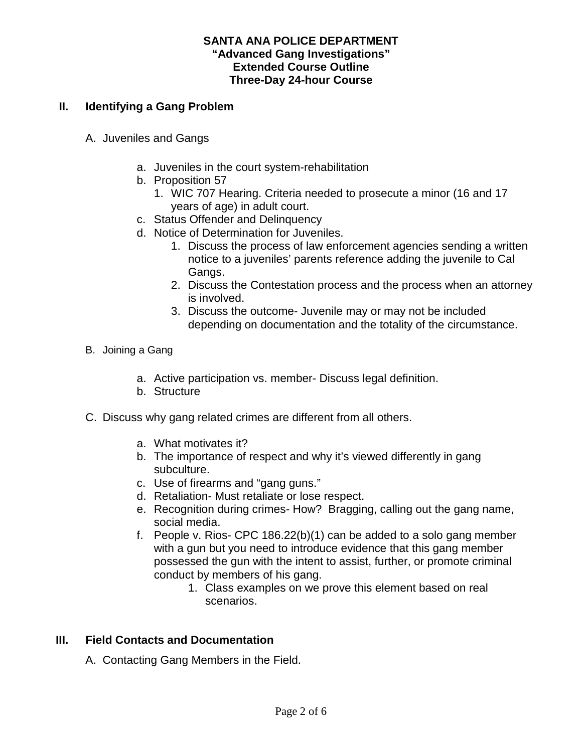## **II. Identifying a Gang Problem**

- A. Juveniles and Gangs
	- a. Juveniles in the court system-rehabilitation
	- b. Proposition 57
		- 1. WIC 707 Hearing. Criteria needed to prosecute a minor (16 and 17 years of age) in adult court.
	- c. Status Offender and Delinquency
	- d. Notice of Determination for Juveniles.
		- 1. Discuss the process of law enforcement agencies sending a written notice to a juveniles' parents reference adding the juvenile to Cal Gangs.
		- 2. Discuss the Contestation process and the process when an attorney is involved.
		- 3. Discuss the outcome- Juvenile may or may not be included depending on documentation and the totality of the circumstance.
- B. Joining a Gang
	- a. Active participation vs. member- Discuss legal definition.
	- b. Structure
- C. Discuss why gang related crimes are different from all others.
	- a. What motivates it?
	- b. The importance of respect and why it's viewed differently in gang subculture.
	- c. Use of firearms and "gang guns."
	- d. Retaliation- Must retaliate or lose respect.
	- e. Recognition during crimes- How? Bragging, calling out the gang name, social media.
	- f. People v. Rios- CPC  $186.22(b)(1)$  can be added to a solo gang member with a gun but you need to introduce evidence that this gang member possessed the gun with the intent to assist, further, or promote criminal conduct by members of his gang.
		- 1. Class examples on we prove this element based on real scenarios.

# **III. Field Contacts and Documentation**

A. Contacting Gang Members in the Field.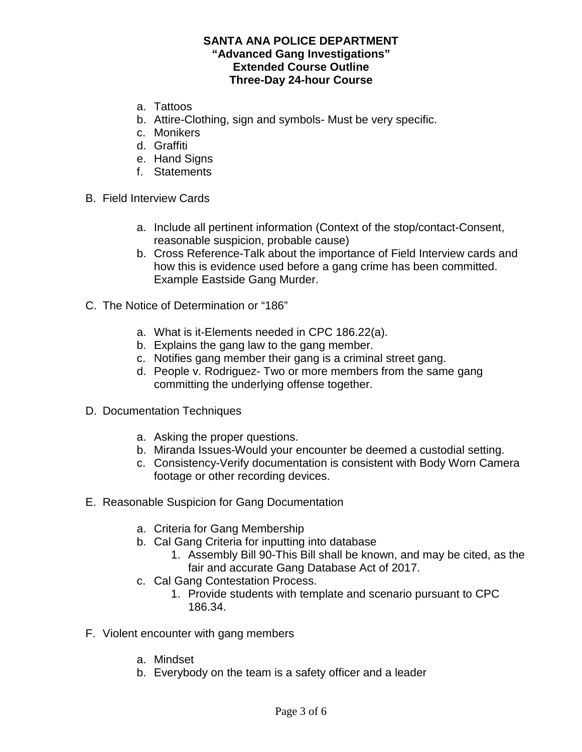- a. Tattoos
- b. Attire-Clothing, sign and symbols- Must be very specific.
- c. Monikers
- d. Graffiti
- e. Hand Signs
- f. Statements
- B. Field Interview Cards
	- a. Include all pertinent information (Context of the stop/contact-Consent, reasonable suspicion, probable cause)
	- b. Cross Reference-Talk about the importance of Field Interview cards and how this is evidence used before a gang crime has been committed. Example Eastside Gang Murder.
- C. The Notice of Determination or "186"
	- a. What is it-Elements needed in CPC 186.22(a).
	- b. Explains the gang law to the gang member.
	- c. Notifies gang member their gang is a criminal street gang.
	- d. People v. Rodriguez- Two or more members from the same gang committing the underlying offense together.
- D. Documentation Techniques
	- a. Asking the proper questions.
	- b. Miranda Issues-Would your encounter be deemed a custodial setting.
	- c. Consistency-Verify documentation is consistent with Body Worn Camera footage or other recording devices.
- E. Reasonable Suspicion for Gang Documentation
	- a. Criteria for Gang Membership
	- b. Cal Gang Criteria for inputting into database
		- 1. Assembly Bill 90-This Bill shall be known, and may be cited, as the fair and accurate Gang Database Act of 2017.
	- c. Cal Gang Contestation Process.
		- 1. Provide students with template and scenario pursuant to CPC 186.34.
- F. Violent encounter with gang members
	- a. Mindset
	- b. Everybody on the team is a safety officer and a leader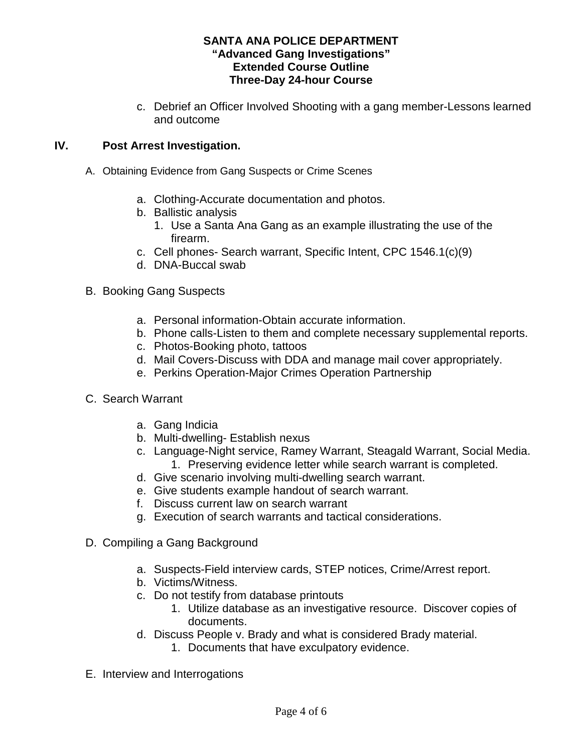c. Debrief an Officer Involved Shooting with a gang member-Lessons learned and outcome

# **IV. Post Arrest Investigation.**

- A. Obtaining Evidence from Gang Suspects or Crime Scenes
	- a. Clothing-Accurate documentation and photos.
	- b. Ballistic analysis
		- 1. Use a Santa Ana Gang as an example illustrating the use of the firearm.
	- c. Cell phones- Search warrant, Specific Intent, CPC 1546.1(c)(9)
	- d. DNA-Buccal swab
- B. Booking Gang Suspects
	- a. Personal information-Obtain accurate information.
	- b. Phone calls-Listen to them and complete necessary supplemental reports.
	- c. Photos-Booking photo, tattoos
	- d. Mail Covers-Discuss with DDA and manage mail cover appropriately.
	- e. Perkins Operation-Major Crimes Operation Partnership
- C. Search Warrant
	- a. Gang Indicia
	- b. Multi-dwelling- Establish nexus
	- c. Language-Night service, Ramey Warrant, Steagald Warrant, Social Media. 1. Preserving evidence letter while search warrant is completed.
	- d. Give scenario involving multi-dwelling search warrant.
	- e. Give students example handout of search warrant.
	- f. Discuss current law on search warrant
	- g. Execution of search warrants and tactical considerations.
- D. Compiling a Gang Background
	- a. Suspects-Field interview cards, STEP notices, Crime/Arrest report.
	- b. Victims/Witness.
	- c. Do not testify from database printouts
		- 1. Utilize database as an investigative resource. Discover copies of documents.
	- d. Discuss People v. Brady and what is considered Brady material.
		- 1. Documents that have exculpatory evidence.
- E. Interview and Interrogations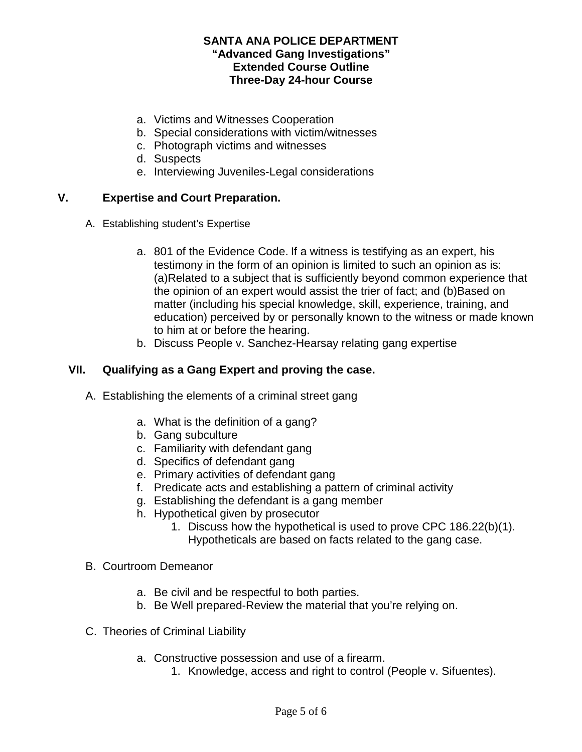- a. Victims and Witnesses Cooperation
- b. Special considerations with victim/witnesses
- c. Photograph victims and witnesses
- d. Suspects
- e. Interviewing Juveniles-Legal considerations

## **V. Expertise and Court Preparation.**

- A. Establishing student's Expertise
	- a. 801 of the Evidence Code. If a witness is testifying as an expert, his testimony in the form of an opinion is limited to such an opinion as is: (a)Related to a subject that is sufficiently beyond common experience that the opinion of an expert would assist the trier of fact; and (b)Based on matter (including his special knowledge, skill, experience, training, and education) perceived by or personally known to the witness or made known to him at or before the hearing.
	- b. Discuss People v. Sanchez-Hearsay relating gang expertise

# **VII. Qualifying as a Gang Expert and proving the case.**

- A. Establishing the elements of a criminal street gang
	- a. What is the definition of a gang?
	- b. Gang subculture
	- c. Familiarity with defendant gang
	- d. Specifics of defendant gang
	- e. Primary activities of defendant gang
	- f. Predicate acts and establishing a pattern of criminal activity
	- g. Establishing the defendant is a gang member
	- h. Hypothetical given by prosecutor
		- 1. Discuss how the hypothetical is used to prove CPC 186.22(b)(1). Hypotheticals are based on facts related to the gang case.
- B. Courtroom Demeanor
	- a. Be civil and be respectful to both parties.
	- b. Be Well prepared-Review the material that you're relying on.
- C. Theories of Criminal Liability
	- a. Constructive possession and use of a firearm.
		- 1. Knowledge, access and right to control (People v. Sifuentes).